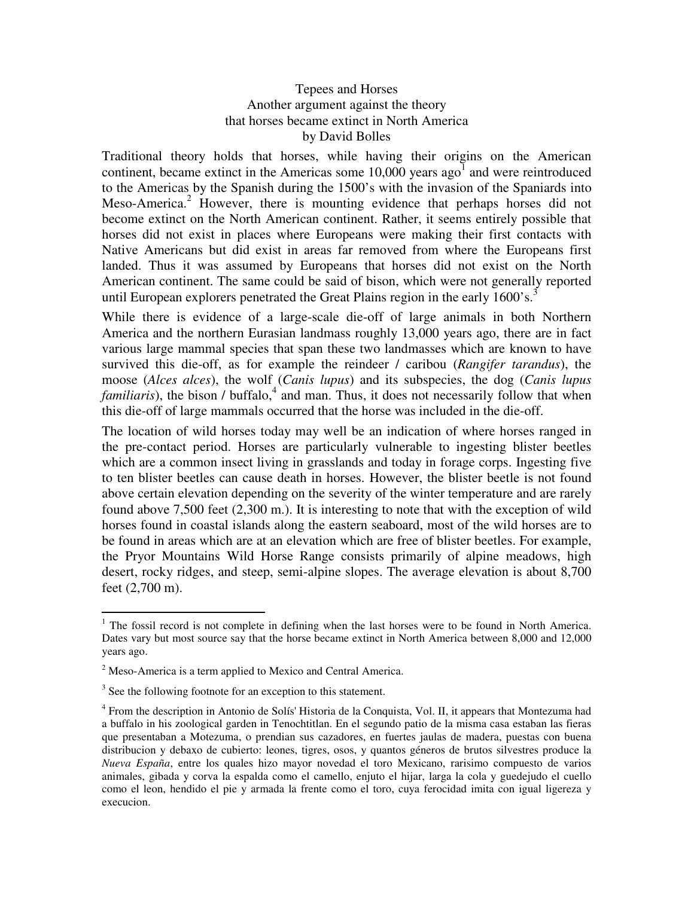## Tepees and Horses Another argument against the theory that horses became extinct in North America by David Bolles

Traditional theory holds that horses, while having their origins on the American continent, became extinct in the Americas some  $10,000$  years ago<sup>1</sup> and were reintroduced to the Americas by the Spanish during the 1500's with the invasion of the Spaniards into Meso-America.<sup>2</sup> However, there is mounting evidence that perhaps horses did not become extinct on the North American continent. Rather, it seems entirely possible that horses did not exist in places where Europeans were making their first contacts with Native Americans but did exist in areas far removed from where the Europeans first landed. Thus it was assumed by Europeans that horses did not exist on the North American continent. The same could be said of bison, which were not generally reported until European explorers penetrated the Great Plains region in the early  $1600$ 's.<sup>3</sup>

While there is evidence of a large-scale die-off of large animals in both Northern America and the northern Eurasian landmass roughly 13,000 years ago, there are in fact various large mammal species that span these two landmasses which are known to have survived this die-off, as for example the reindeer / caribou (*Rangifer tarandus*), the moose (*Alces alces*), the wolf (*Canis lupus*) and its subspecies, the dog (*Canis lupus*  familiaris), the bison / buffalo,<sup>4</sup> and man. Thus, it does not necessarily follow that when this die-off of large mammals occurred that the horse was included in the die-off.

The location of wild horses today may well be an indication of where horses ranged in the pre-contact period. Horses are particularly vulnerable to ingesting blister beetles which are a common insect living in grasslands and today in forage corps. Ingesting five to ten blister beetles can cause death in horses. However, the blister beetle is not found above certain elevation depending on the severity of the winter temperature and are rarely found above 7,500 feet (2,300 m.). It is interesting to note that with the exception of wild horses found in coastal islands along the eastern seaboard, most of the wild horses are to be found in areas which are at an elevation which are free of blister beetles. For example, the Pryor Mountains Wild Horse Range consists primarily of alpine meadows, high desert, rocky ridges, and steep, semi-alpine slopes. The average elevation is about 8,700 feet (2,700 m).

 $\overline{a}$ 

 $1$  The fossil record is not complete in defining when the last horses were to be found in North America. Dates vary but most source say that the horse became extinct in North America between 8,000 and 12,000 years ago.

 $2$  Meso-America is a term applied to Mexico and Central America.

<sup>&</sup>lt;sup>3</sup> See the following footnote for an exception to this statement.

<sup>&</sup>lt;sup>4</sup> From the description in Antonio de Solís' Historia de la Conquista, Vol. II, it appears that Montezuma had a buffalo in his zoological garden in Tenochtitlan. En el segundo patio de la misma casa estaban las fieras que presentaban a Motezuma, o prendian sus cazadores, en fuertes jaulas de madera, puestas con buena distribucion y debaxo de cubierto: leones, tigres, osos, y quantos géneros de brutos silvestres produce la *Nueva España*, entre los quales hizo mayor novedad el toro Mexicano, rarisimo compuesto de varios animales, gibada y corva la espalda como el camello, enjuto el hijar, larga la cola y guedejudo el cuello como el leon, hendido el pie y armada la frente como el toro, cuya ferocidad imita con igual ligereza y execucion.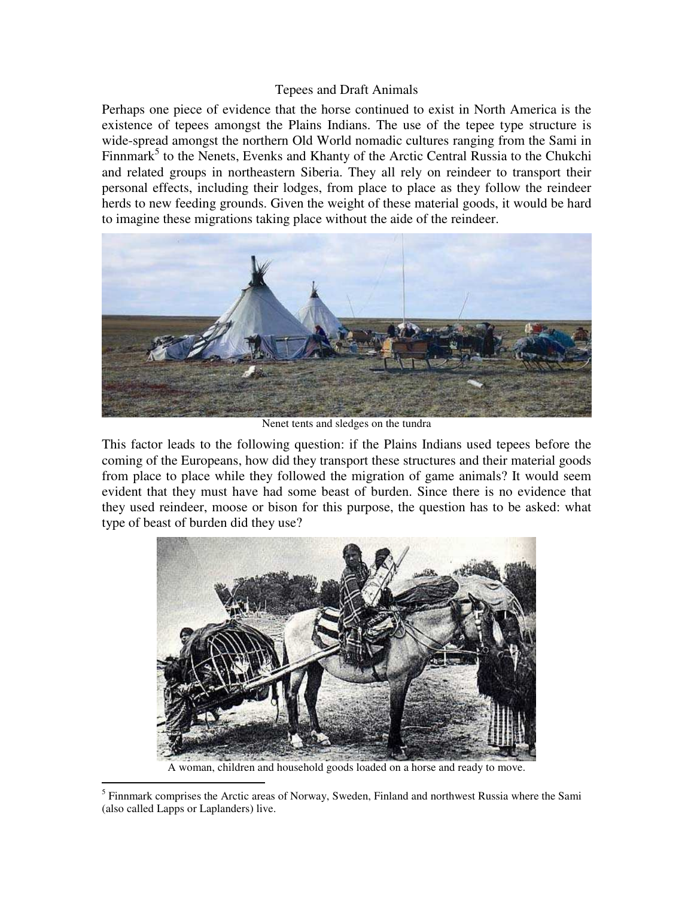## Tepees and Draft Animals

Perhaps one piece of evidence that the horse continued to exist in North America is the existence of tepees amongst the Plains Indians. The use of the tepee type structure is wide-spread amongst the northern Old World nomadic cultures ranging from the Sami in Finnmark<sup>5</sup> to the Nenets, Evenks and Khanty of the Arctic Central Russia to the Chukchi and related groups in northeastern Siberia. They all rely on reindeer to transport their personal effects, including their lodges, from place to place as they follow the reindeer herds to new feeding grounds. Given the weight of these material goods, it would be hard to imagine these migrations taking place without the aide of the reindeer.



Nenet tents and sledges on the tundra

This factor leads to the following question: if the Plains Indians used tepees before the coming of the Europeans, how did they transport these structures and their material goods from place to place while they followed the migration of game animals? It would seem evident that they must have had some beast of burden. Since there is no evidence that they used reindeer, moose or bison for this purpose, the question has to be asked: what type of beast of burden did they use?



A woman, children and household goods loaded on a horse and ready to move.

<sup>&</sup>lt;sup>5</sup> Finnmark comprises the Arctic areas of Norway, Sweden, Finland and northwest Russia where the Sami (also called Lapps or Laplanders) live.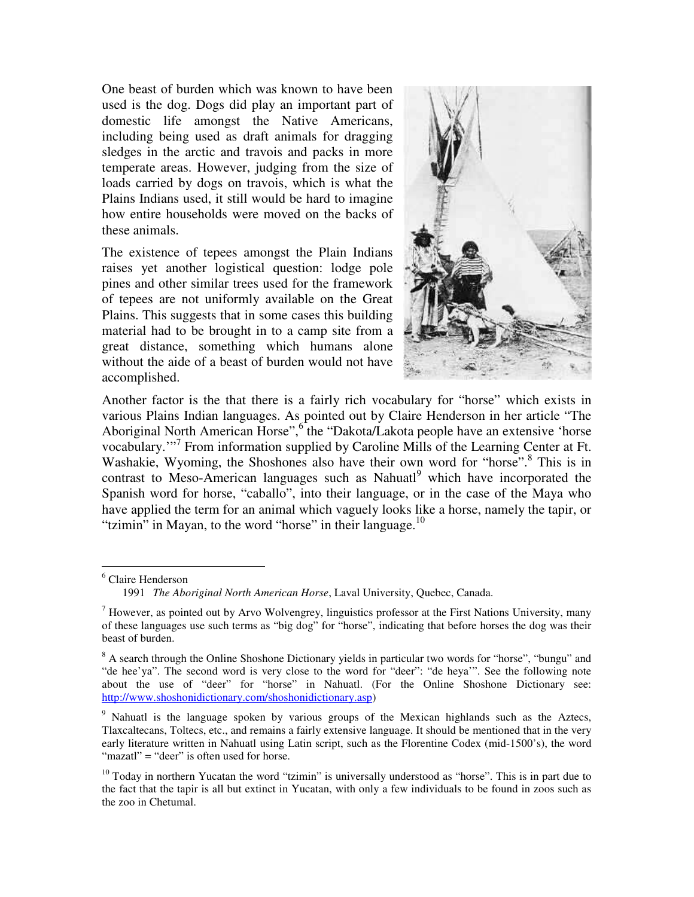One beast of burden which was known to have been used is the dog. Dogs did play an important part of domestic life amongst the Native Americans, including being used as draft animals for dragging sledges in the arctic and travois and packs in more temperate areas. However, judging from the size of loads carried by dogs on travois, which is what the Plains Indians used, it still would be hard to imagine how entire households were moved on the backs of these animals.

The existence of tepees amongst the Plain Indians raises yet another logistical question: lodge pole pines and other similar trees used for the framework of tepees are not uniformly available on the Great Plains. This suggests that in some cases this building material had to be brought in to a camp site from a great distance, something which humans alone without the aide of a beast of burden would not have accomplished.



Another factor is the that there is a fairly rich vocabulary for "horse" which exists in various Plains Indian languages. As pointed out by Claire Henderson in her article "The Aboriginal North American Horse", <sup>6</sup> the "Dakota/Lakota people have an extensive 'horse vocabulary."<sup>7</sup> From information supplied by Caroline Mills of the Learning Center at Ft. Washakie, Wyoming, the Shoshones also have their own word for "horse".<sup>8</sup> This is in contrast to Meso-American languages such as Nahuatl $9$  which have incorporated the Spanish word for horse, "caballo", into their language, or in the case of the Maya who have applied the term for an animal which vaguely looks like a horse, namely the tapir, or "tzimin" in Mayan, to the word "horse" in their language. $^{10}$ 

-

<sup>6</sup> Claire Henderson

 <sup>1991</sup> *The Aboriginal North American Horse*, Laval University, Quebec, Canada.

 $<sup>7</sup>$  However, as pointed out by Arvo Wolvengrey, linguistics professor at the First Nations University, many</sup> of these languages use such terms as "big dog" for "horse", indicating that before horses the dog was their beast of burden.

<sup>&</sup>lt;sup>8</sup> A search through the Online Shoshone Dictionary yields in particular two words for "horse", "bungu" and "de hee'ya". The second word is very close to the word for "deer": "de heya'". See the following note about the use of "deer" for "horse" in Nahuatl. (For the Online Shoshone Dictionary see: http://www.shoshonidictionary.com/shoshonidictionary.asp)

<sup>&</sup>lt;sup>9</sup> Nahuatl is the language spoken by various groups of the Mexican highlands such as the Aztecs, Tlaxcaltecans, Toltecs, etc., and remains a fairly extensive language. It should be mentioned that in the very early literature written in Nahuatl using Latin script, such as the Florentine Codex (mid-1500's), the word "mazatl" = "deer" is often used for horse.

 $10$  Today in northern Yucatan the word "tzimin" is universally understood as "horse". This is in part due to the fact that the tapir is all but extinct in Yucatan, with only a few individuals to be found in zoos such as the zoo in Chetumal.